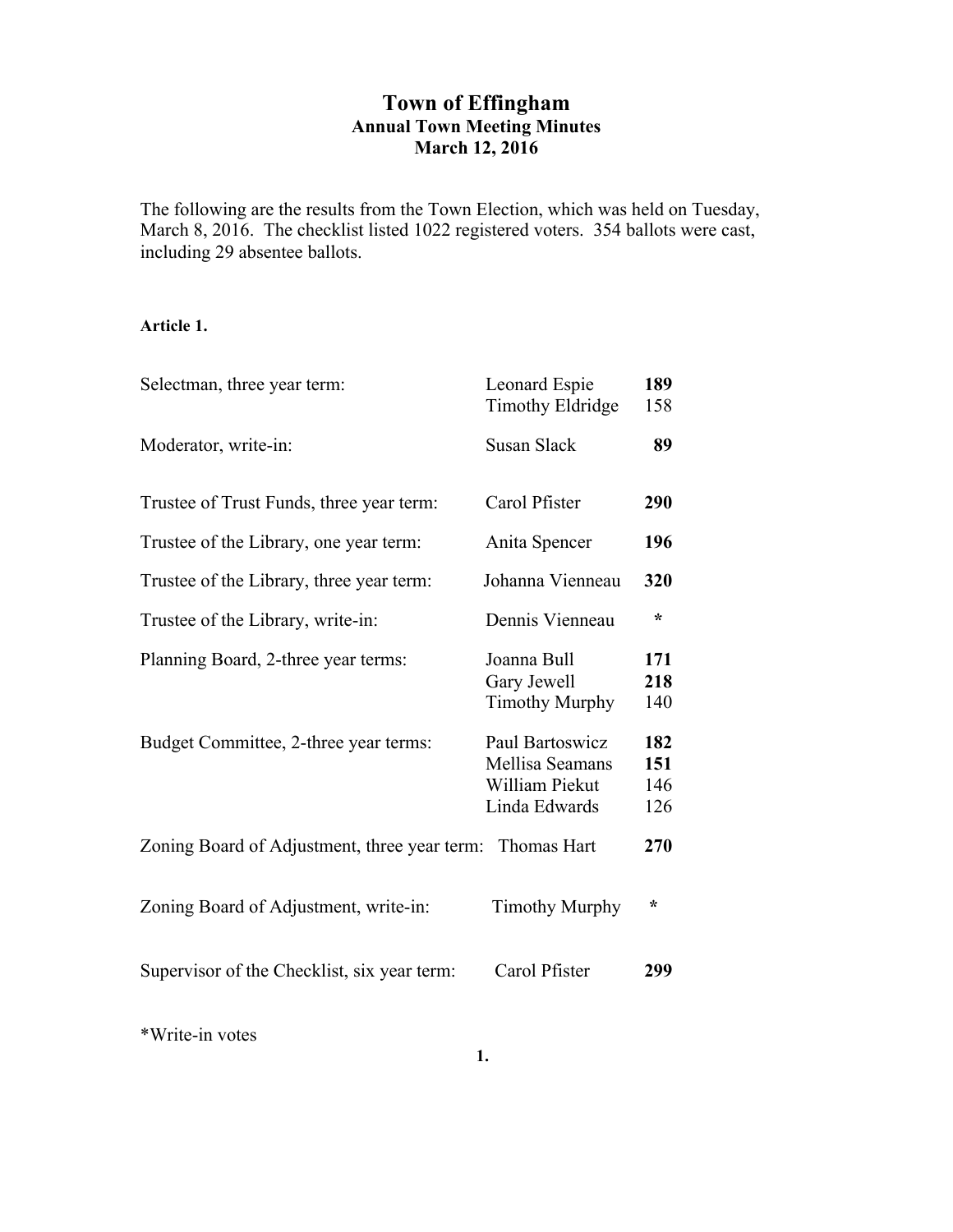# **Town of Effingham Annual Town Meeting Minutes March 12, 2016**

The following are the results from the Town Election, which was held on Tuesday, March 8, 2016. The checklist listed 1022 registered voters. 354 ballots were cast, including 29 absentee ballots.

## **Article 1.**

| Selectman, three year term:                  | Leonard Espie<br><b>Timothy Eldridge</b>                              | 189<br>158               |
|----------------------------------------------|-----------------------------------------------------------------------|--------------------------|
| Moderator, write-in:                         | <b>Susan Slack</b>                                                    | 89                       |
| Trustee of Trust Funds, three year term:     | Carol Pfister                                                         | 290                      |
| Trustee of the Library, one year term:       | Anita Spencer                                                         | 196                      |
| Trustee of the Library, three year term:     | Johanna Vienneau                                                      | 320                      |
| Trustee of the Library, write-in:            | Dennis Vienneau                                                       | $\star$                  |
| Planning Board, 2-three year terms:          | Joanna Bull<br>Gary Jewell<br><b>Timothy Murphy</b>                   | 171<br>218<br>140        |
| Budget Committee, 2-three year terms:        | Paul Bartoswicz<br>Mellisa Seamans<br>William Piekut<br>Linda Edwards | 182<br>151<br>146<br>126 |
| Zoning Board of Adjustment, three year term: | Thomas Hart                                                           | 270                      |
| Zoning Board of Adjustment, write-in:        | <b>Timothy Murphy</b>                                                 | $\star$                  |
| Supervisor of the Checklist, six year term:  | Carol Pfister                                                         | 299                      |
|                                              |                                                                       |                          |

\*Write-in votes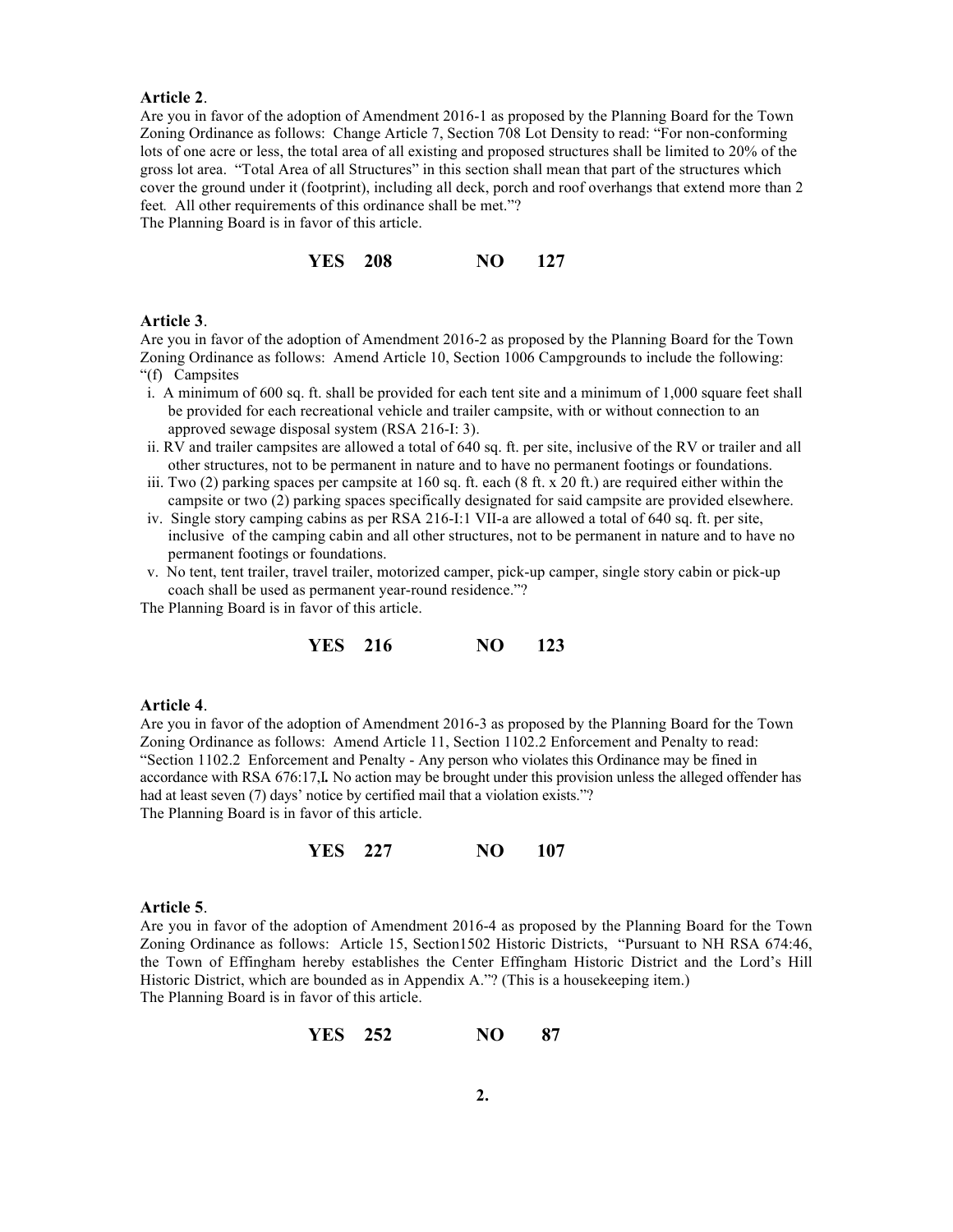#### **Article 2**.

Are you in favor of the adoption of Amendment 2016-1 as proposed by the Planning Board for the Town Zoning Ordinance as follows: Change Article 7, Section 708 Lot Density to read: "For non-conforming lots of one acre or less, the total area of all existing and proposed structures shall be limited to 20% of the gross lot area. "Total Area of all Structures" in this section shall mean that part of the structures which cover the ground under it (footprint), including all deck, porch and roof overhangs that extend more than 2 feet*.* All other requirements of this ordinance shall be met."?

The Planning Board is in favor of this article.



### **Article 3**.

Are you in favor of the adoption of Amendment 2016-2 as proposed by the Planning Board for the Town Zoning Ordinance as follows: Amend Article 10, Section 1006 Campgrounds to include the following: "(f) Campsites

- i. A minimum of 600 sq. ft. shall be provided for each tent site and a minimum of 1,000 square feet shall be provided for each recreational vehicle and trailer campsite, with or without connection to an approved sewage disposal system (RSA 216-I: 3).
- ii. RV and trailer campsites are allowed a total of 640 sq. ft. per site, inclusive of the RV or trailer and all other structures, not to be permanent in nature and to have no permanent footings or foundations.
- iii. Two (2) parking spaces per campsite at 160 sq. ft. each (8 ft. x 20 ft.) are required either within the campsite or two (2) parking spaces specifically designated for said campsite are provided elsewhere.
- iv. Single story camping cabins as per RSA 216-I:1 VII-a are allowed a total of 640 sq. ft. per site, inclusive of the camping cabin and all other structures, not to be permanent in nature and to have no permanent footings or foundations.
- v. No tent, tent trailer, travel trailer, motorized camper, pick-up camper, single story cabin or pick-up coach shall be used as permanent year-round residence."?

The Planning Board is in favor of this article.



#### **Article 4**.

Are you in favor of the adoption of Amendment 2016-3 as proposed by the Planning Board for the Town Zoning Ordinance as follows: Amend Article 11, Section 1102.2 Enforcement and Penalty to read: "Section 1102.2 Enforcement and Penalty - Any person who violates this Ordinance may be fined in accordance with RSA 676:17,I*.* No action may be brought under this provision unless the alleged offender has had at least seven (7) days' notice by certified mail that a violation exists."? The Planning Board is in favor of this article.



#### **Article 5**.

Are you in favor of the adoption of Amendment 2016-4 as proposed by the Planning Board for the Town Zoning Ordinance as follows: Article 15, Section1502 Historic Districts, "Pursuant to NH RSA 674:46, the Town of Effingham hereby establishes the Center Effingham Historic District and the Lord's Hill Historic District, which are bounded as in Appendix A."? (This is a housekeeping item.) The Planning Board is in favor of this article.

**YES 252 NO 87**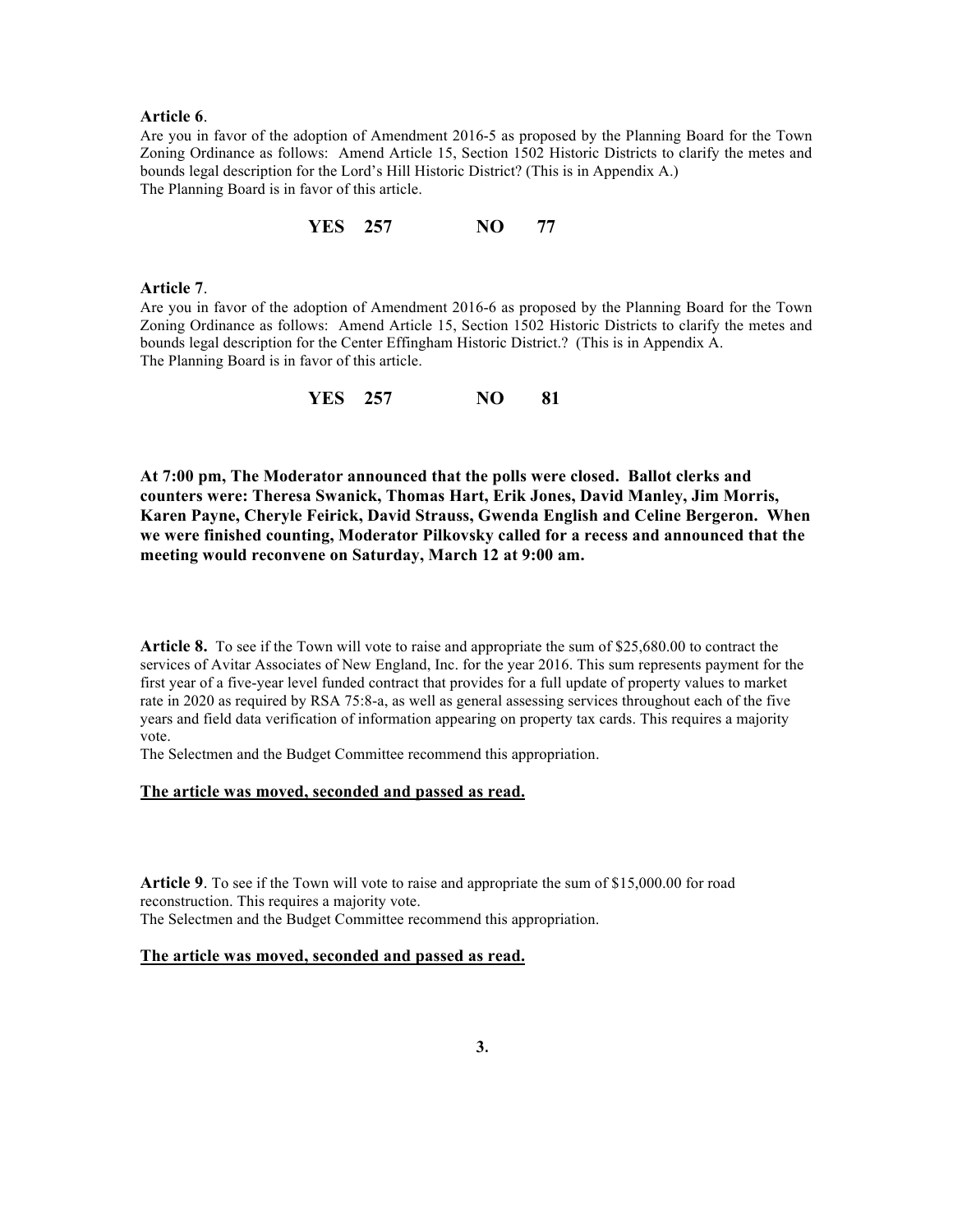#### **Article 6**.

Are you in favor of the adoption of Amendment 2016-5 as proposed by the Planning Board for the Town Zoning Ordinance as follows: Amend Article 15, Section 1502 Historic Districts to clarify the metes and bounds legal description for the Lord's Hill Historic District? (This is in Appendix A.) The Planning Board is in favor of this article.



#### **Article 7**.

Are you in favor of the adoption of Amendment 2016-6 as proposed by the Planning Board for the Town Zoning Ordinance as follows: Amend Article 15, Section 1502 Historic Districts to clarify the metes and bounds legal description for the Center Effingham Historic District.? (This is in Appendix A. The Planning Board is in favor of this article.

**YES 257 NO 81**

**At 7:00 pm, The Moderator announced that the polls were closed. Ballot clerks and counters were: Theresa Swanick, Thomas Hart, Erik Jones, David Manley, Jim Morris, Karen Payne, Cheryle Feirick, David Strauss, Gwenda English and Celine Bergeron. When we were finished counting, Moderator Pilkovsky called for a recess and announced that the meeting would reconvene on Saturday, March 12 at 9:00 am.**

**Article 8.** To see if the Town will vote to raise and appropriate the sum of \$25,680.00 to contract the services of Avitar Associates of New England, Inc. for the year 2016. This sum represents payment for the first year of a five-year level funded contract that provides for a full update of property values to market rate in 2020 as required by RSA 75:8-a, as well as general assessing services throughout each of the five years and field data verification of information appearing on property tax cards. This requires a majority vote.

The Selectmen and the Budget Committee recommend this appropriation.

#### **The article was moved, seconded and passed as read.**

**Article 9**. To see if the Town will vote to raise and appropriate the sum of \$15,000.00 for road reconstruction. This requires a majority vote. The Selectmen and the Budget Committee recommend this appropriation.

#### **The article was moved, seconded and passed as read.**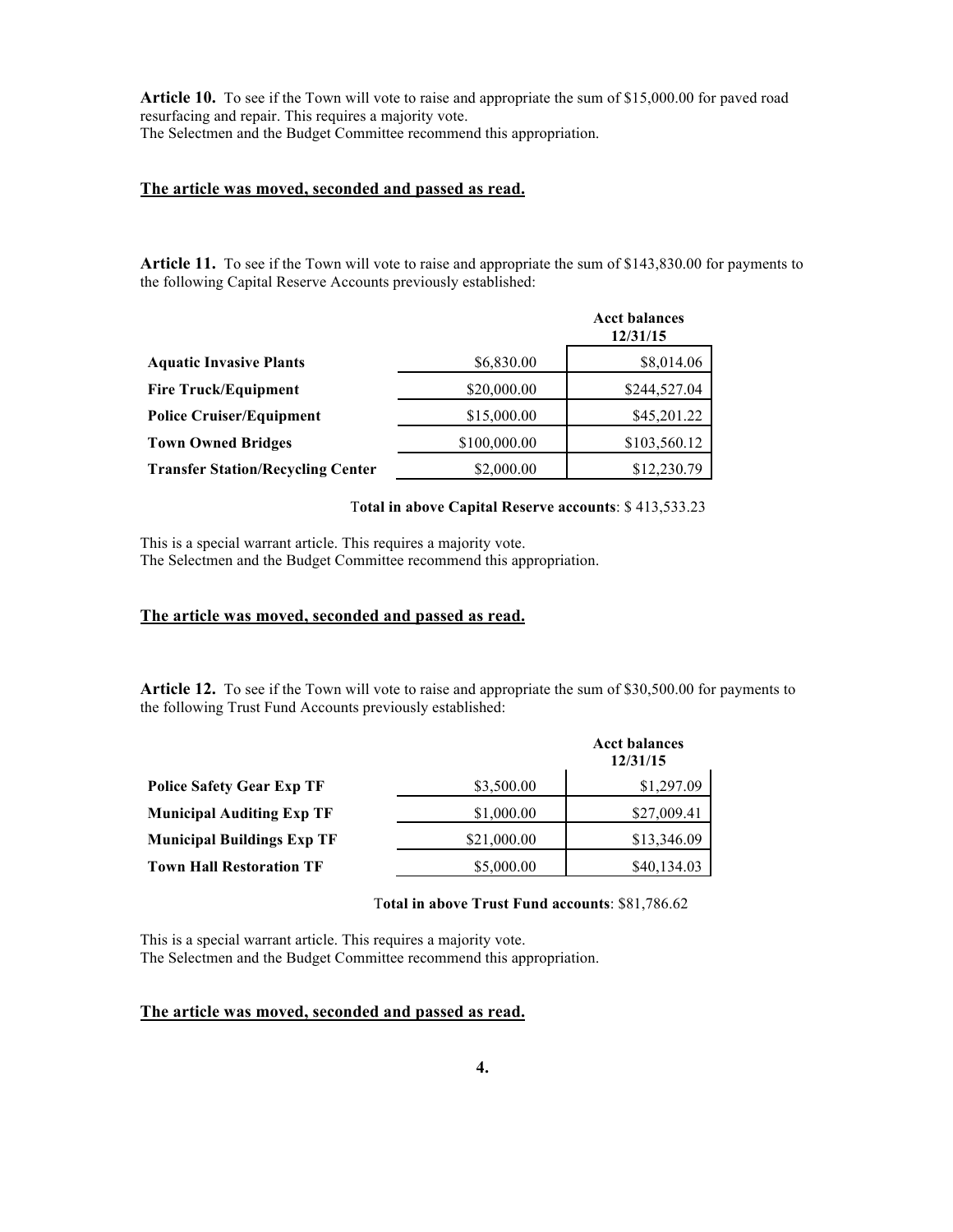**Article 10.** To see if the Town will vote to raise and appropriate the sum of \$15,000.00 for paved road resurfacing and repair. This requires a majority vote. The Selectmen and the Budget Committee recommend this appropriation.

### **The article was moved, seconded and passed as read.**

**Article 11.** To see if the Town will vote to raise and appropriate the sum of \$143,830.00 for payments to the following Capital Reserve Accounts previously established:

|                                          |              | <b>Acct balances</b><br>12/31/15 |
|------------------------------------------|--------------|----------------------------------|
| <b>Aquatic Invasive Plants</b>           | \$6,830.00   | \$8,014.06                       |
| <b>Fire Truck/Equipment</b>              | \$20,000.00  | \$244,527.04                     |
| <b>Police Cruiser/Equipment</b>          | \$15,000.00  | \$45,201.22                      |
| <b>Town Owned Bridges</b>                | \$100,000.00 | \$103,560.12                     |
| <b>Transfer Station/Recycling Center</b> | \$2,000.00   | \$12,230.79                      |

#### T**otal in above Capital Reserve accounts**: \$ 413,533.23

This is a special warrant article. This requires a majority vote. The Selectmen and the Budget Committee recommend this appropriation.

### **The article was moved, seconded and passed as read.**

**Article 12.** To see if the Town will vote to raise and appropriate the sum of \$30,500.00 for payments to the following Trust Fund Accounts previously established:

|                                   |             | <b>Acct balances</b><br>12/31/15 |
|-----------------------------------|-------------|----------------------------------|
| <b>Police Safety Gear Exp TF</b>  | \$3,500.00  | \$1,297.09                       |
| <b>Municipal Auditing Exp TF</b>  | \$1,000.00  | \$27,009.41                      |
| <b>Municipal Buildings Exp TF</b> | \$21,000.00 | \$13,346.09                      |
| <b>Town Hall Restoration TF</b>   | \$5,000.00  | \$40,134.03                      |

#### T**otal in above Trust Fund accounts**: \$81,786.62

This is a special warrant article. This requires a majority vote. The Selectmen and the Budget Committee recommend this appropriation.

### **The article was moved, seconded and passed as read.**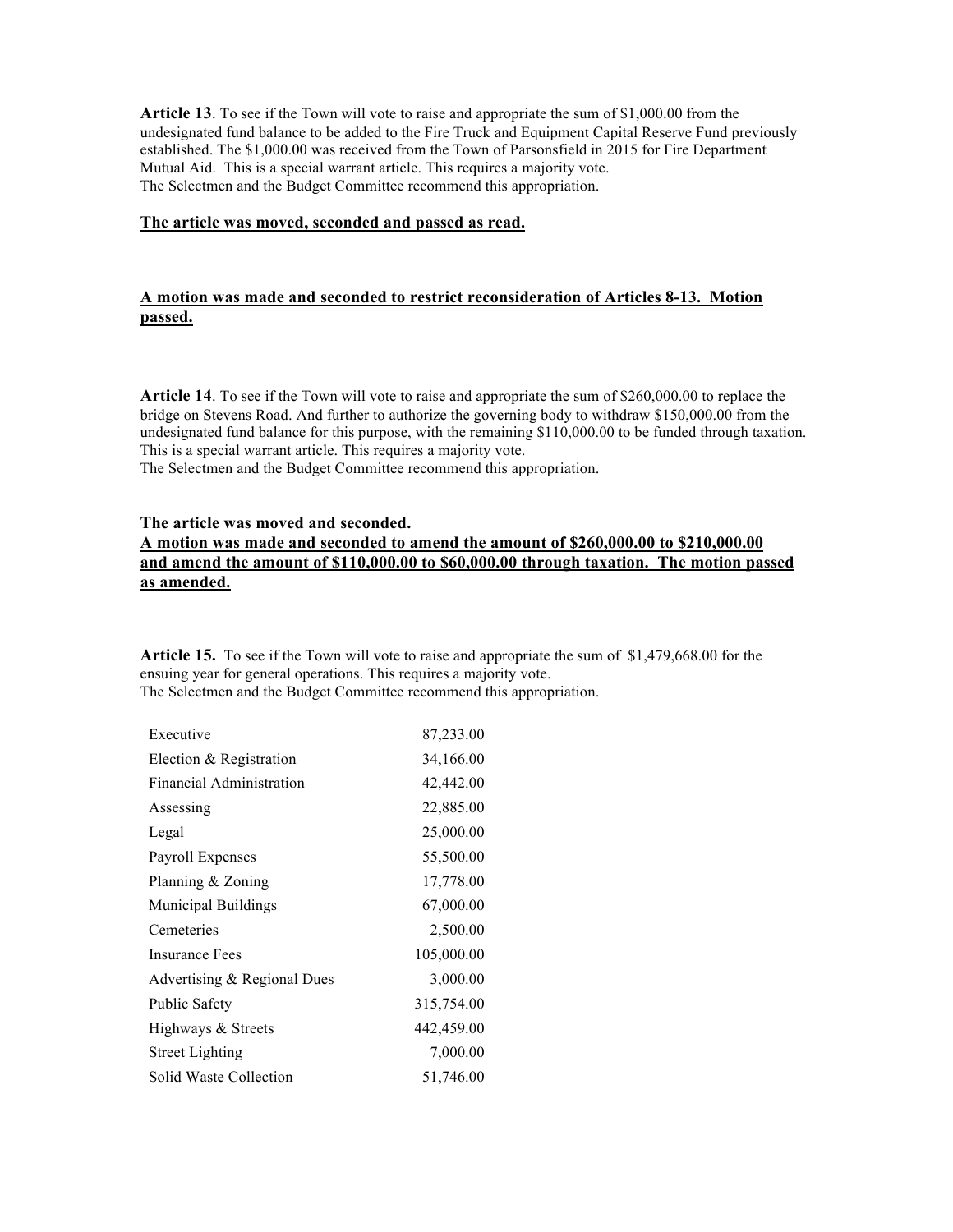**Article 13**. To see if the Town will vote to raise and appropriate the sum of \$1,000.00 from the undesignated fund balance to be added to the Fire Truck and Equipment Capital Reserve Fund previously established. The \$1,000.00 was received from the Town of Parsonsfield in 2015 for Fire Department Mutual Aid. This is a special warrant article. This requires a majority vote. The Selectmen and the Budget Committee recommend this appropriation.

### **The article was moved, seconded and passed as read.**

### **A motion was made and seconded to restrict reconsideration of Articles 8-13. Motion passed.**

**Article 14**. To see if the Town will vote to raise and appropriate the sum of \$260,000.00 to replace the bridge on Stevens Road. And further to authorize the governing body to withdraw \$150,000.00 from the undesignated fund balance for this purpose, with the remaining \$110,000.00 to be funded through taxation. This is a special warrant article. This requires a majority vote.

The Selectmen and the Budget Committee recommend this appropriation.

**The article was moved and seconded.** 

## **A motion was made and seconded to amend the amount of \$260,000.00 to \$210,000.00 and amend the amount of \$110,000.00 to \$60,000.00 through taxation. The motion passed as amended.**

**Article 15.** To see if the Town will vote to raise and appropriate the sum of \$1,479,668.00 for the ensuing year for general operations. This requires a majority vote. The Selectmen and the Budget Committee recommend this appropriation.

| Executive                       | 87,233.00  |
|---------------------------------|------------|
| Election & Registration         | 34,166.00  |
| <b>Financial Administration</b> | 42,442.00  |
| Assessing                       | 22,885.00  |
| Legal                           | 25,000.00  |
| Payroll Expenses                | 55,500.00  |
| Planning & Zoning               | 17,778.00  |
| Municipal Buildings             | 67,000.00  |
| Cemeteries                      | 2,500.00   |
| <b>Insurance Fees</b>           | 105,000.00 |
| Advertising & Regional Dues     | 3,000.00   |
| <b>Public Safety</b>            | 315,754.00 |
| Highways & Streets              | 442,459.00 |
| <b>Street Lighting</b>          | 7,000.00   |
| Solid Waste Collection          | 51,746.00  |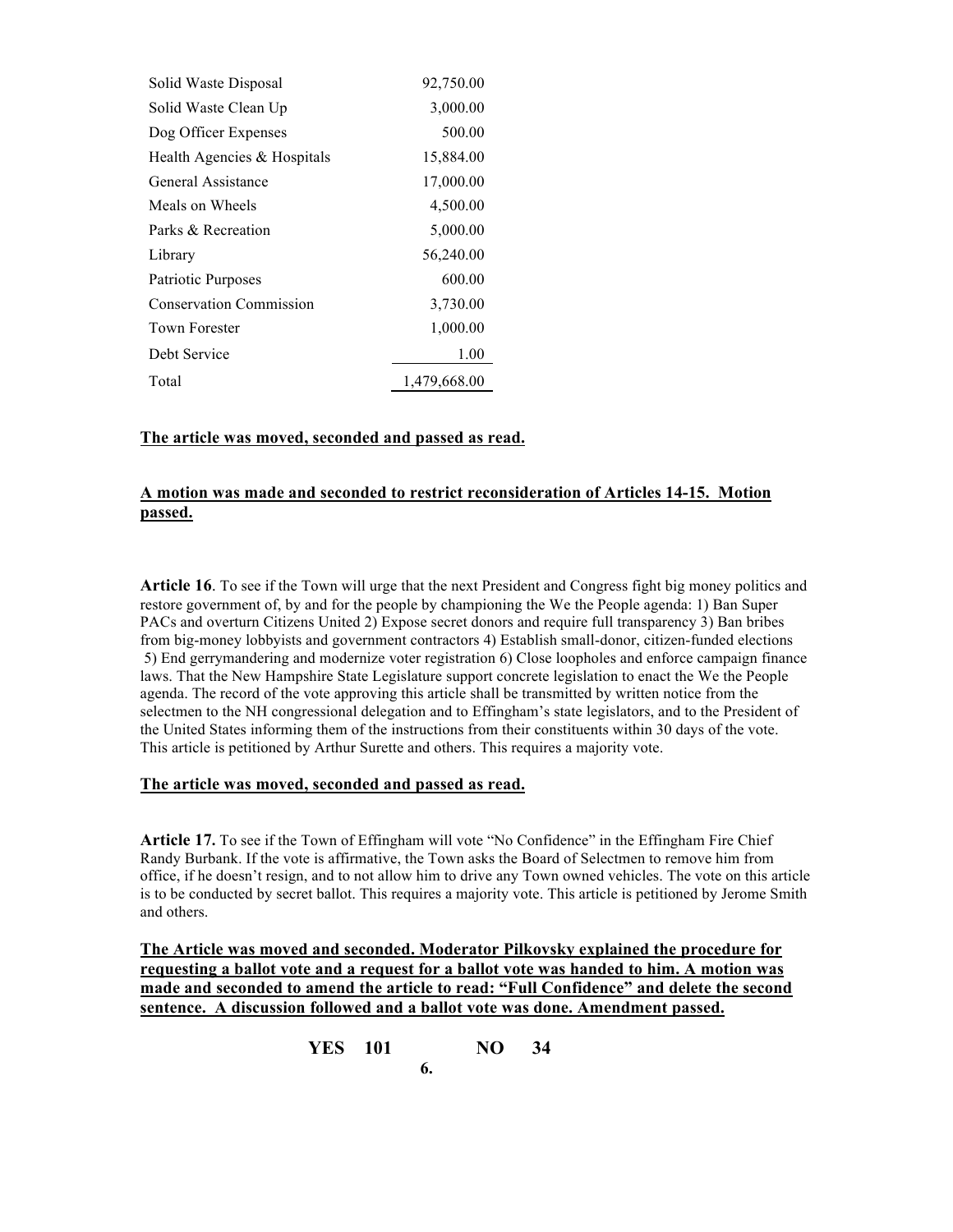| Solid Waste Disposal           | 92,750.00    |
|--------------------------------|--------------|
| Solid Waste Clean Up           | 3,000.00     |
| Dog Officer Expenses           | 500.00       |
| Health Agencies & Hospitals    | 15,884.00    |
| General Assistance             | 17,000.00    |
| Meals on Wheels                | 4,500.00     |
| Parks & Recreation             | 5,000.00     |
| Library                        | 56,240.00    |
| Patriotic Purposes             | 600.00       |
| <b>Conservation Commission</b> | 3,730.00     |
| <b>Town Forester</b>           | 1,000.00     |
| Debt Service                   | 1.00         |
| Total                          | 1,479,668.00 |

### **The article was moved, seconded and passed as read.**

## **A motion was made and seconded to restrict reconsideration of Articles 14-15. Motion passed.**

**Article 16**. To see if the Town will urge that the next President and Congress fight big money politics and restore government of, by and for the people by championing the We the People agenda: 1) Ban Super PACs and overturn Citizens United 2) Expose secret donors and require full transparency 3) Ban bribes from big-money lobbyists and government contractors 4) Establish small-donor, citizen-funded elections 5) End gerrymandering and modernize voter registration 6) Close loopholes and enforce campaign finance laws. That the New Hampshire State Legislature support concrete legislation to enact the We the People agenda. The record of the vote approving this article shall be transmitted by written notice from the selectmen to the NH congressional delegation and to Effingham's state legislators, and to the President of the United States informing them of the instructions from their constituents within 30 days of the vote. This article is petitioned by Arthur Surette and others. This requires a majority vote.

### **The article was moved, seconded and passed as read.**

**Article 17.** To see if the Town of Effingham will vote "No Confidence" in the Effingham Fire Chief Randy Burbank. If the vote is affirmative, the Town asks the Board of Selectmen to remove him from office, if he doesn't resign, and to not allow him to drive any Town owned vehicles. The vote on this article is to be conducted by secret ballot. This requires a majority vote. This article is petitioned by Jerome Smith and others.

**The Article was moved and seconded. Moderator Pilkovsky explained the procedure for requesting a ballot vote and a request for a ballot vote was handed to him. A motion was made and seconded to amend the article to read: "Full Confidence" and delete the second sentence. A discussion followed and a ballot vote was done. Amendment passed.**

**YES 101 NO 34 6.**